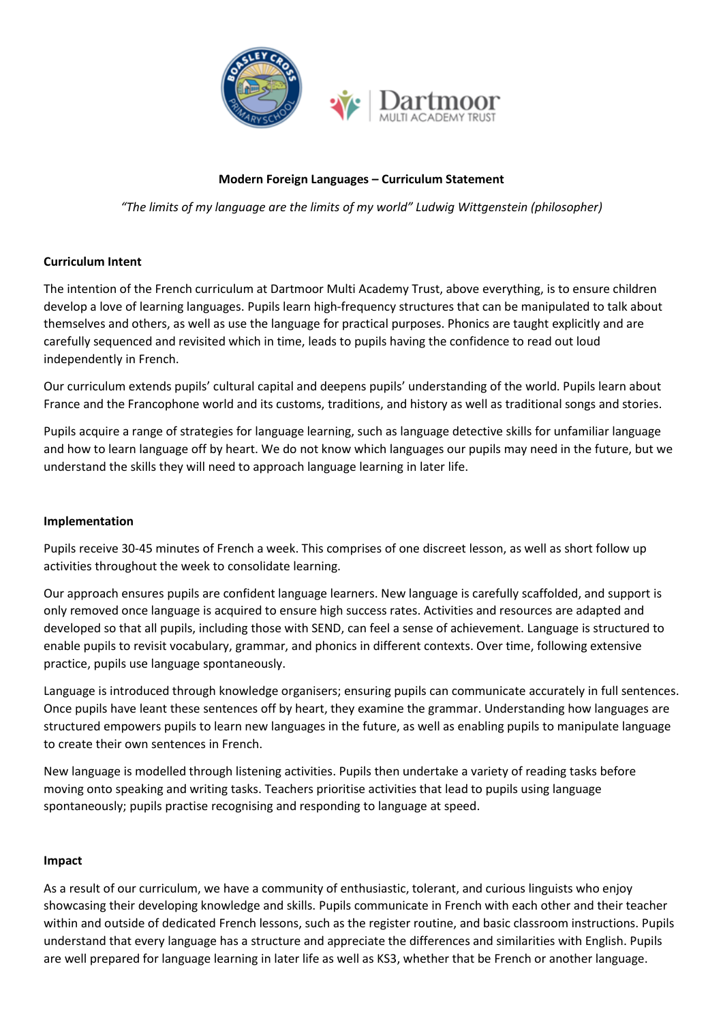

## **Modern Foreign Languages – Curriculum Statement**

*"The limits of my language are the limits of my world" Ludwig Wittgenstein (philosopher)*

### **Curriculum Intent**

The intention of the French curriculum at Dartmoor Multi Academy Trust, above everything, is to ensure children develop a love of learning languages. Pupils learn high-frequency structures that can be manipulated to talk about themselves and others, as well as use the language for practical purposes. Phonics are taught explicitly and are carefully sequenced and revisited which in time, leads to pupils having the confidence to read out loud independently in French.

Our curriculum extends pupils' cultural capital and deepens pupils' understanding of the world. Pupils learn about France and the Francophone world and its customs, traditions, and history as well as traditional songs and stories.

Pupils acquire a range of strategies for language learning, such as language detective skills for unfamiliar language and how to learn language off by heart. We do not know which languages our pupils may need in the future, but we understand the skills they will need to approach language learning in later life.

#### **Implementation**

Pupils receive 30-45 minutes of French a week. This comprises of one discreet lesson, as well as short follow up activities throughout the week to consolidate learning.

Our approach ensures pupils are confident language learners. New language is carefully scaffolded, and support is only removed once language is acquired to ensure high success rates. Activities and resources are adapted and developed so that all pupils, including those with SEND, can feel a sense of achievement. Language is structured to enable pupils to revisit vocabulary, grammar, and phonics in different contexts. Over time, following extensive practice, pupils use language spontaneously.

Language is introduced through knowledge organisers; ensuring pupils can communicate accurately in full sentences. Once pupils have leant these sentences off by heart, they examine the grammar. Understanding how languages are structured empowers pupils to learn new languages in the future, as well as enabling pupils to manipulate language to create their own sentences in French.

New language is modelled through listening activities. Pupils then undertake a variety of reading tasks before moving onto speaking and writing tasks. Teachers prioritise activities that lead to pupils using language spontaneously; pupils practise recognising and responding to language at speed.

#### **Impact**

As a result of our curriculum, we have a community of enthusiastic, tolerant, and curious linguists who enjoy showcasing their developing knowledge and skills. Pupils communicate in French with each other and their teacher within and outside of dedicated French lessons, such as the register routine, and basic classroom instructions. Pupils understand that every language has a structure and appreciate the differences and similarities with English. Pupils are well prepared for language learning in later life as well as KS3, whether that be French or another language.